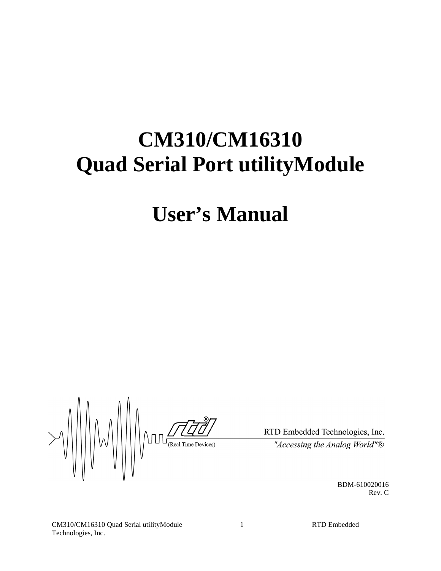# **CM310/CM16310 Quad Serial Port utilityModule**

# **User's Manual**

 $\setlength{\unitlength}{0.5cm} \begin{picture}(120,5) \label{picc} \put(0,0){\dashbox{0.5}(120,0){ }} \thicklines \put(0,0){\dashbox{0.5}(120,0){ }} \thicklines \put(0,0){\dashbox{0.5}(120,0){ }} \thicklines \put(0,0){\dashbox{0.5}(120,0){ }} \thicklines \put(0,0){\dashbox{0.5}(120,0){ }} \thicklines \put(0,0){\dashbox{0.5}(120,0){ }} \thicklines \put(0,0){\dashbox{0.5}(120,0){ }} \thicklines \put(0,0){\dash$ W

RTD Embedded Technologies, Inc. "Accessing the Analog World" $\overline{\mathbb{B}}$ 

BDM-610020016 Rev. C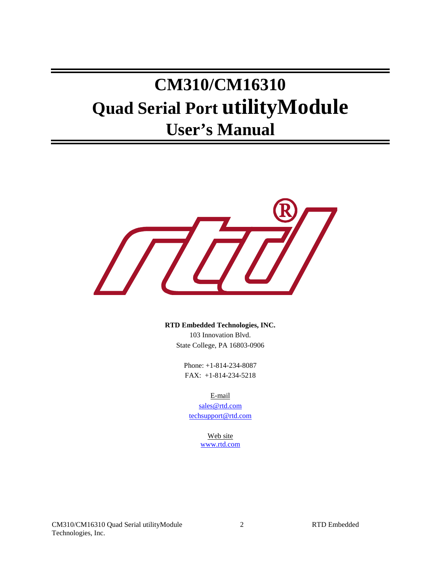# **CM310/CM16310 Quad Serial Port utilityModule User's Manual**



**RTD Embedded Technologies, INC.** 103 Innovation Blvd. State College, PA 16803-0906

> Phone: +1-814-234-8087 FAX: +1-814-234-5218

> > E-mail

sales@rtd.com techsupport@rtd.com

> Web site www.rtd.com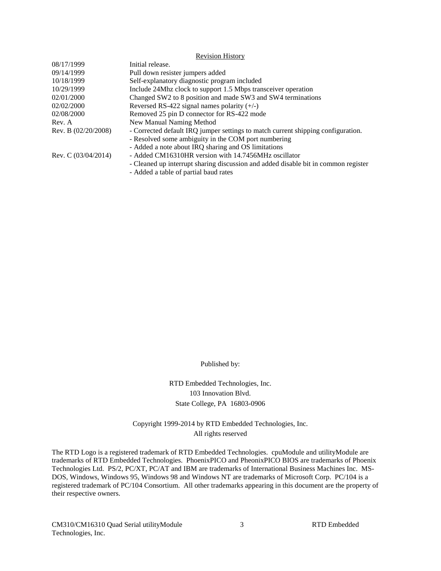|                       | <b>Revision History</b>                                                            |
|-----------------------|------------------------------------------------------------------------------------|
| 08/17/1999            | Initial release.                                                                   |
| 09/14/1999            | Pull down resister jumpers added                                                   |
| 10/18/1999            | Self-explanatory diagnostic program included                                       |
| 10/29/1999            | Include 24Mhz clock to support 1.5 Mbps transceiver operation                      |
| 02/01/2000            | Changed SW2 to 8 position and made SW3 and SW4 terminations                        |
| 02/02/2000            | Reversed RS-422 signal names polarity $(+/-)$                                      |
| 02/08/2000            | Removed 25 pin D connector for RS-422 mode                                         |
| Rev. A                | New Manual Naming Method                                                           |
| Rev. B (02/20/2008)   | - Corrected default IRQ jumper settings to match current shipping configuration.   |
|                       | - Resolved some ambiguity in the COM port numbering                                |
|                       | - Added a note about IRQ sharing and OS limitations                                |
| Rev. C $(03/04/2014)$ | - Added CM16310HR version with 14.7456MHz oscillator                               |
|                       | - Cleaned up interrupt sharing discussion and added disable bit in common register |
|                       | Added a table of partial hand rates                                                |

- Added a table of partial baud rates

Published by:

RTD Embedded Technologies, Inc. 103 Innovation Blvd. State College, PA 16803-0906

Copyright 1999-2014 by RTD Embedded Technologies, Inc. All rights reserved

The RTD Logo is a registered trademark of RTD Embedded Technologies. cpuModule and utilityModule are trademarks of RTD Embedded Technologies. PhoenixPICO and PheonixPICO BIOS are trademarks of Phoenix Technologies Ltd. PS/2, PC/XT, PC/AT and IBM are trademarks of International Business Machines Inc. MS-DOS, Windows, Windows 95, Windows 98 and Windows NT are trademarks of Microsoft Corp. PC/104 is a registered trademark of PC/104 Consortium. All other trademarks appearing in this document are the property of their respective owners.

CM310/CM16310 Quad Serial utilityModule 3 RTD Embedded Technologies, Inc.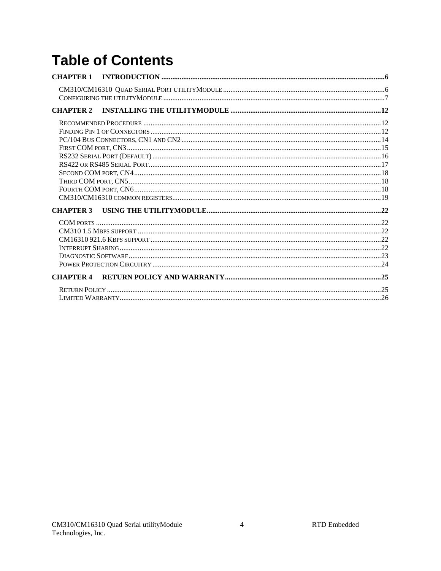# **Table of Contents**

| <b>CHAPTER 1</b> |  |
|------------------|--|
|                  |  |
| <b>CHAPTER 2</b> |  |
|                  |  |
|                  |  |
|                  |  |
|                  |  |
|                  |  |
|                  |  |
|                  |  |
|                  |  |
|                  |  |
|                  |  |
| <b>CHAPTER 3</b> |  |
|                  |  |
|                  |  |
|                  |  |
|                  |  |
|                  |  |
|                  |  |
| <b>CHAPTER 4</b> |  |
|                  |  |
|                  |  |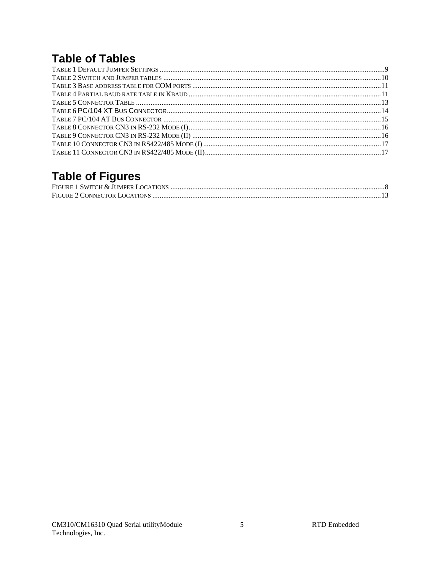# **Table of Tables**

# **Table of Figures**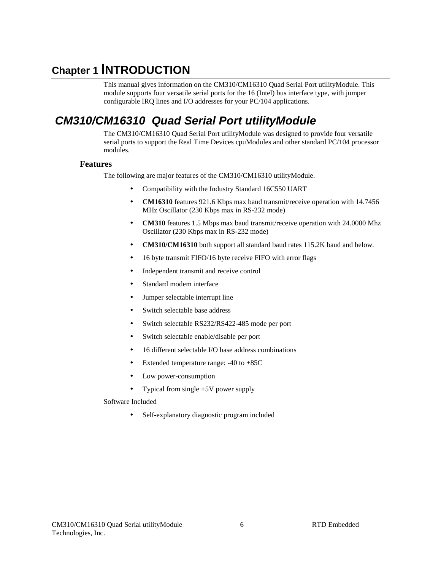# **Chapter 1 INTRODUCTION**

This manual gives information on the CM310/CM16310 Quad Serial Port utilityModule. This module supports four versatile serial ports for the 16 (Intel) bus interface type, with jumper configurable IRQ lines and I/O addresses for your PC/104 applications.

# **CM310/CM16310 Quad Serial Port utilityModule**

The CM310/CM16310 Quad Serial Port utilityModule was designed to provide four versatile serial ports to support the Real Time Devices cpuModules and other standard PC/104 processor modules.

#### **Features**

The following are major features of the CM310/CM16310 utilityModule.

- Compatibility with the Industry Standard 16C550 UART
- **CM16310** features 921.6 Kbps max baud transmit/receive operation with 14.7456 MHz Oscillator (230 Kbps max in RS-232 mode)
- **CM310** features 1.5 Mbps max baud transmit/receive operation with 24.0000 Mhz Oscillator (230 Kbps max in RS-232 mode)
- **CM310/CM16310** both support all standard baud rates 115.2K baud and below.
- 16 byte transmit FIFO/16 byte receive FIFO with error flags
- Independent transmit and receive control
- Standard modem interface
- Jumper selectable interrupt line
- Switch selectable base address
- Switch selectable RS232/RS422-485 mode per port
- Switch selectable enable/disable per port
- 16 different selectable I/O base address combinations
- Extended temperature range:  $-40$  to  $+85C$
- Low power-consumption
- Typical from single +5V power supply

Software Included

Self-explanatory diagnostic program included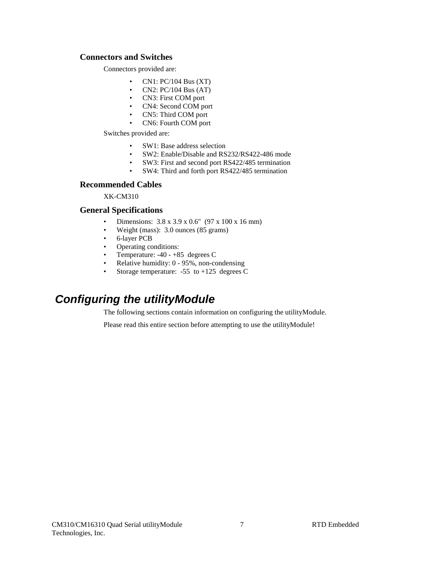#### **Connectors and Switches**

Connectors provided are:

- CN1:  $PC/104$  Bus  $(XT)$
- CN2:  $PC/104$  Bus  $(AT)$
- CN3: First COM port<br>• CN4: Second COM no
- CN4: Second COM port<br>• CN5: Third COM port
- CN5: Third COM port
- CN6: Fourth COM port

Switches provided are:

- SW1: Base address selection
- SW2: Enable/Disable and RS232/RS422-486 mode
- SW3: First and second port RS422/485 termination
- SW4: Third and forth port RS422/485 termination

#### **Recommended Cables**

XK-CM310

#### **General Specifications**

- Dimensions: 3.8 x 3.9 x 0.6" (97 x 100 x 16 mm)
- Weight (mass): 3.0 ounces (85 grams)
- 6-layer PCB
- Operating conditions:
- Temperature: -40 +85 degrees C
- Relative humidity: 0 95%, non-condensing
- Storage temperature: -55 to +125 degrees C

# **Configuring the utilityModule**

The following sections contain information on configuring the utilityModule.

Please read this entire section before attempting to use the utilityModule!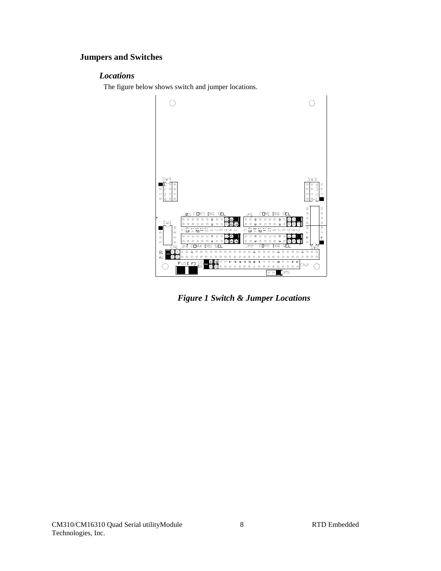#### **Jumpers and Switches**

#### *Locations*

The figure below shows switch and jumper locations.



 *Figure 1 Switch & Jumper Locations*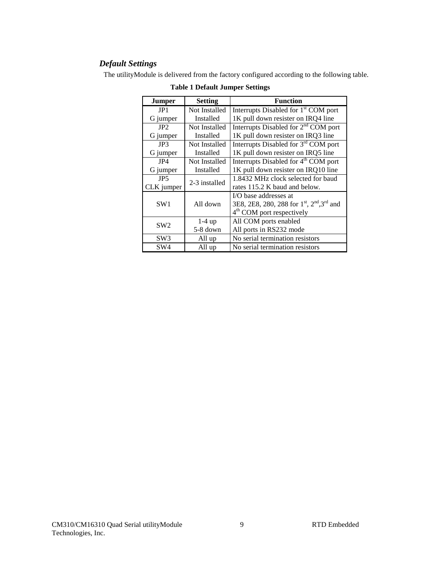#### *Default Settings*

The utilityModule is delivered from the factory configured according to the following table.

| Jumper          | <b>Setting</b><br><b>Function</b> |                                                                                |  |
|-----------------|-----------------------------------|--------------------------------------------------------------------------------|--|
| JP1             | Not Installed                     | Interrupts Disabled for 1 <sup>st</sup> COM port                               |  |
| G jumper        | Installed                         | 1K pull down resister on IRQ4 line                                             |  |
| JP2             | Not Installed                     | Interrupts Disabled for 2 <sup>nd</sup> COM port                               |  |
| G jumper        | Installed                         | 1K pull down resister on IRQ3 line                                             |  |
| JP3             | Not Installed                     | Interrupts Disabled for 3 <sup>rd</sup> COM port                               |  |
| G jumper        | Installed                         | 1K pull down resister on IRQ5 line                                             |  |
| JP4             | Not Installed                     | Interrupts Disabled for 4 <sup>th</sup> COM port                               |  |
| G jumper        | Installed                         | 1K pull down resister on IRQ10 line                                            |  |
| JP <sub>5</sub> | 2-3 installed                     | 1.8432 MHz clock selected for baud                                             |  |
| CLK jumper      |                                   | rates 115.2 K baud and below.                                                  |  |
|                 |                                   | I/O base addresses at                                                          |  |
| SW <sub>1</sub> | All down                          | 3E8, 2E8, 280, 288 for 1 <sup>st</sup> , 2 <sup>nd</sup> , 3 <sup>rd</sup> and |  |
|                 |                                   | $4th$ COM port respectively                                                    |  |
| SW <sub>2</sub> | $1-4up$                           | All COM ports enabled                                                          |  |
|                 | 5-8 down                          | All ports in RS232 mode                                                        |  |
| SW3             | All up                            | No serial termination resistors                                                |  |
| SW4             | All up                            | No serial termination resistors                                                |  |

**Table 1 Default Jumper Settings**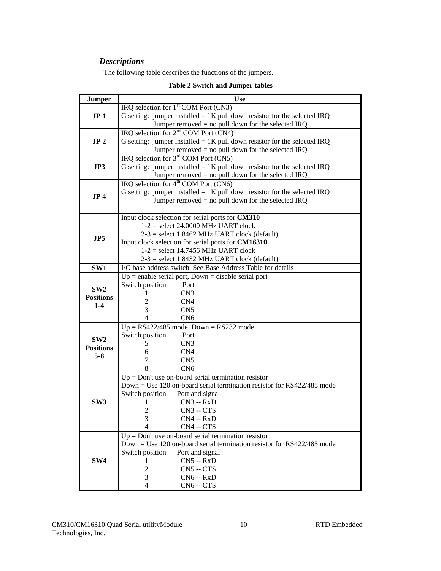### *Descriptions*

The following table describes the functions of the jumpers.

| Jumper           | <b>Use</b>                                                                 |  |  |  |  |
|------------------|----------------------------------------------------------------------------|--|--|--|--|
|                  | IRQ selection for 1 <sup>st</sup> COM Port (CN3)                           |  |  |  |  |
| JP <sub>1</sub>  | G setting: jumper installed = $1K$ pull down resistor for the selected IRQ |  |  |  |  |
|                  | Jumper removed $=$ no pull down for the selected IRQ                       |  |  |  |  |
|                  | IRQ selection for $2nd$ COM Port (CN4)                                     |  |  |  |  |
| JP <sub>2</sub>  | G setting: jumper installed = $1K$ pull down resistor for the selected IRQ |  |  |  |  |
|                  | Jumper removed = no pull down for the selected IRQ                         |  |  |  |  |
|                  | IRQ selection for $3rd$ COM Port (CN5)                                     |  |  |  |  |
| JP3              | G setting: jumper installed = $1K$ pull down resistor for the selected IRQ |  |  |  |  |
|                  | Jumper removed $=$ no pull down for the selected IRQ                       |  |  |  |  |
|                  | IRQ selection for $4^{th}$ COM Port (CN6)                                  |  |  |  |  |
| JP <sub>4</sub>  | G setting: jumper installed = $1K$ pull down resistor for the selected IRQ |  |  |  |  |
|                  | Jumper removed $=$ no pull down for the selected IRQ                       |  |  |  |  |
|                  |                                                                            |  |  |  |  |
|                  | Input clock selection for serial ports for CM310                           |  |  |  |  |
|                  | $1-2$ = select 24.0000 MHz UART clock                                      |  |  |  |  |
| JP <sub>5</sub>  | $2-3$ = select 1.8462 MHz UART clock (default)                             |  |  |  |  |
|                  | Input clock selection for serial ports for CM16310                         |  |  |  |  |
|                  | $1-2$ = select 14.7456 MHz UART clock                                      |  |  |  |  |
|                  | $2-3$ = select 1.8432 MHz UART clock (default)                             |  |  |  |  |
| SW1              | I/O base address switch. See Base Address Table for details                |  |  |  |  |
|                  | $Up =$ enable serial port, Down = disable serial port                      |  |  |  |  |
| SW2              | Switch position<br>Port                                                    |  |  |  |  |
| <b>Positions</b> | CN <sub>3</sub><br>1                                                       |  |  |  |  |
| $1-4$            | $\overline{c}$<br>CN <sub>4</sub>                                          |  |  |  |  |
|                  | 3<br>CN <sub>5</sub>                                                       |  |  |  |  |
|                  | $\overline{4}$<br>CN <sub>6</sub>                                          |  |  |  |  |
|                  | $Up = RS422/485$ mode, $Down = RS232$ mode                                 |  |  |  |  |
| SW <sub>2</sub>  | Switch position<br>Port                                                    |  |  |  |  |
| <b>Positions</b> | CN <sub>3</sub><br>5                                                       |  |  |  |  |
| $5 - 8$          | 6<br>CN <sub>4</sub>                                                       |  |  |  |  |
|                  | 7<br>CN <sub>5</sub>                                                       |  |  |  |  |
|                  |                                                                            |  |  |  |  |
|                  | 8<br>CN <sub>6</sub>                                                       |  |  |  |  |
|                  | $Up = Don't$ use on-board serial termination resistor                      |  |  |  |  |
|                  | $Down = Use 120$ on-board serial termination resistor for RS422/485 mode   |  |  |  |  |
|                  | Switch position<br>Port and signal                                         |  |  |  |  |
| SW <sub>3</sub>  | $CN3 - RxD$<br>1                                                           |  |  |  |  |
|                  | $\overline{2}$<br>CN3 -- CTS                                               |  |  |  |  |
|                  | 3<br>$CN4 - RxD$                                                           |  |  |  |  |
|                  | 4<br>CN4 -- CTS                                                            |  |  |  |  |
|                  | $Up = Don't$ use on-board serial termination resistor                      |  |  |  |  |
|                  | $Down = Use 120$ on-board serial termination resistor for RS422/485 mode   |  |  |  |  |
|                  | Switch position<br>Port and signal                                         |  |  |  |  |
| SW <sub>4</sub>  | $CN5 - RxD$<br>Ш                                                           |  |  |  |  |
|                  | $\overline{2}$<br>$CN5 - CTS$<br>3<br>$CN6 - RxD$                          |  |  |  |  |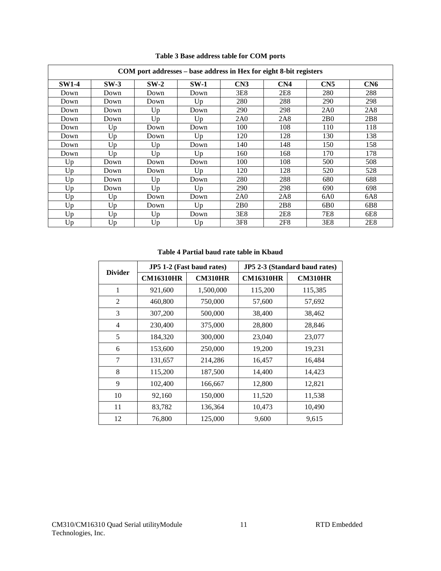| COM port addresses - base address in Hex for eight 8-bit registers |        |        |        |                 |                 |                 |     |
|--------------------------------------------------------------------|--------|--------|--------|-----------------|-----------------|-----------------|-----|
| <b>SW1-4</b>                                                       | $SW-3$ | $SW-2$ | $SW-1$ | CN3             | CN <sub>4</sub> | CN <sub>5</sub> | CN6 |
| Down                                                               | Down   | Down   | Down   | 3E8             | 2E8             | 280             | 288 |
| Down                                                               | Down   | Down   | Up     | 280             | 288             | 290             | 298 |
| Down                                                               | Down   | Up     | Down   | 290             | 298             | 2A0             | 2A8 |
| Down                                                               | Down   | Up     | Up     | 2A0             | 2A8             | 2B <sub>0</sub> | 2B8 |
| Down                                                               | Up     | Down   | Down   | 100             | 108             | 110             | 118 |
| Down                                                               | Up     | Down   | Up     | 120             | 128             | 130             | 138 |
| Down                                                               | Up     | Up     | Down   | 140             | 148             | 150             | 158 |
| Down                                                               | Up     | Up     | Up     | 160             | 168             | 170             | 178 |
| Up                                                                 | Down   | Down   | Down   | 100             | 108             | 500             | 508 |
| Up                                                                 | Down   | Down   | Up     | 120             | 128             | 520             | 528 |
| Up                                                                 | Down   | Up     | Down   | 280             | 288             | 680             | 688 |
| Up                                                                 | Down   | Up     | Up     | 290             | 298             | 690             | 698 |
| Up                                                                 | Up     | Down   | Down   | 2A0             | 2A8             | 6A0             | 6A8 |
| Up                                                                 | Up     | Down   | Up     | 2B <sub>0</sub> | 2B <sub>8</sub> | 6B <sub>0</sub> | 6B8 |
| Up                                                                 | Up     | Up     | Down   | 3E8             | 2E8             | 7E8             | 6E8 |
| Up                                                                 | Up     | Up     | Up     | 3F <sub>8</sub> | 2F8             | 3E8             | 2E8 |

**Table 3 Base address table for COM ports** 

#### **Table 4 Partial baud rate table in Kbaud**

| <b>Divider</b> |                  | JP5 1-2 (Fast baud rates) | JP5 2-3 (Standard baud rates) |                |  |
|----------------|------------------|---------------------------|-------------------------------|----------------|--|
|                | <b>CM16310HR</b> | <b>CM310HR</b>            | <b>CM16310HR</b>              | <b>CM310HR</b> |  |
| 1              | 921,600          | 1,500,000                 | 115,200                       | 115,385        |  |
| 2              | 460,800          | 750,000                   | 57,600                        | 57,692         |  |
| 3              | 307,200          | 500,000                   | 38,400                        | 38,462         |  |
| 4              | 230,400          | 375,000                   | 28,800                        | 28,846         |  |
| 5              | 184,320          | 300,000                   | 23,040                        | 23,077         |  |
| 6              | 153,600          | 250,000                   | 19,200                        | 19,231         |  |
| 7              | 131,657          | 214,286                   | 16,457                        | 16,484         |  |
| 8              | 115,200          | 187,500                   | 14,400                        | 14,423         |  |
| 9              | 102,400          | 166,667                   | 12,800                        | 12,821         |  |
| 10             | 92,160           | 150,000                   | 11,520                        | 11,538         |  |
| 11             | 83,782           | 136,364                   | 10,473                        | 10,490         |  |
| 12             | 76,800           | 125,000                   | 9,600                         | 9,615          |  |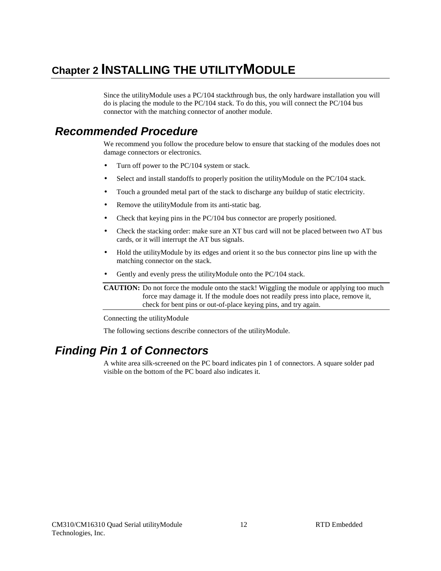# **Chapter 2 INSTALLING THE UTILITYMODULE**

Since the utilityModule uses a PC/104 stackthrough bus, the only hardware installation you will do is placing the module to the PC/104 stack. To do this, you will connect the PC/104 bus connector with the matching connector of another module.

## **Recommended Procedure**

We recommend you follow the procedure below to ensure that stacking of the modules does not damage connectors or electronics.

- Turn off power to the PC/104 system or stack.
- Select and install standoffs to properly position the utilityModule on the PC/104 stack.
- Touch a grounded metal part of the stack to discharge any buildup of static electricity.
- Remove the utility Module from its anti-static bag.
- Check that keying pins in the PC/104 bus connector are properly positioned.
- Check the stacking order: make sure an XT bus card will not be placed between two AT bus cards, or it will interrupt the AT bus signals.
- Hold the utilityModule by its edges and orient it so the bus connector pins line up with the matching connector on the stack.
- Gently and evenly press the utilityModule onto the PC/104 stack.

**CAUTION:** Do not force the module onto the stack! Wiggling the module or applying too much force may damage it. If the module does not readily press into place, remove it, check for bent pins or out-of-place keying pins, and try again.

Connecting the utilityModule

The following sections describe connectors of the utilityModule.

# **Finding Pin 1 of Connectors**

A white area silk-screened on the PC board indicates pin 1 of connectors. A square solder pad visible on the bottom of the PC board also indicates it.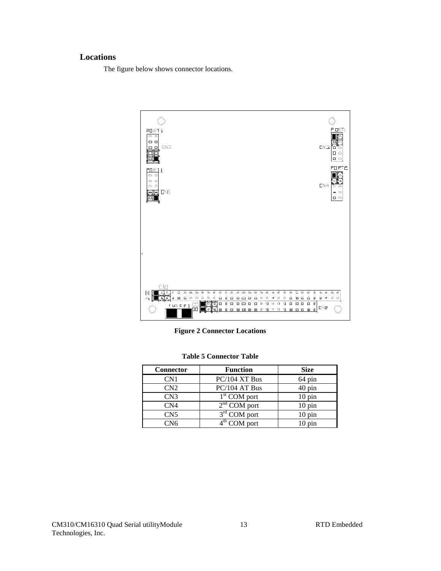#### **Locations**

The figure below shows connector locations.



**Figure 2 Connector Locations** 

| Connector       | <b>Function</b> | <b>Size</b>         |
|-----------------|-----------------|---------------------|
| CN1             | PC/104 XT Bus   | 64 pin              |
| CN2             | PC/104 AT Bus   | 40 pin              |
| CN3             | $1st$ COM port  | $10 \,\mathrm{pin}$ |
| CN <sub>4</sub> | $2nd$ COM port  | $10 \,\mathrm{pin}$ |
| CN <sub>5</sub> | $3rd$ COM port  | $10 \text{ pin}$    |
| CN6             | $4th$ COM port  | $10 \,\mathrm{pin}$ |

**Table 5 Connector Table**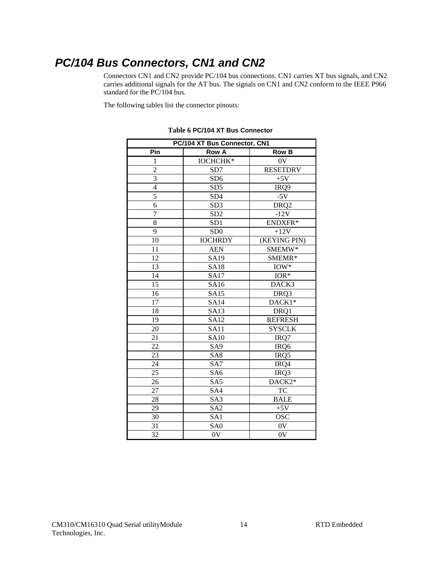# **PC/104 Bus Connectors, CN1 and CN2**

Connectors CN1 and CN2 provide PC/104 bus connections. CN1 carries XT bus signals, and CN2 carries additional signals for the AT bus. The signals on CN1 and CN2 conform to the IEEE P966 standard for the PC/104 bus.

The following tables list the connector pinouts:

| PC/104 XT Bus Connector, CN1 |                 |                  |  |
|------------------------------|-----------------|------------------|--|
| Pin                          | <b>Row A</b>    | <b>Row B</b>     |  |
| 1                            | <b>IOCHCHK*</b> | 0V               |  |
| $\overline{2}$               | SD7             | <b>RESETDRV</b>  |  |
| $\overline{3}$               | SD <sub>6</sub> | $+5V$            |  |
| $\overline{4}$               | SD <sub>5</sub> | IRQ9             |  |
| $\overline{5}$               | SD4             | $-5V$            |  |
| 6                            | SD <sub>3</sub> | DRQ <sub>2</sub> |  |
| 7                            | SD <sub>2</sub> | $-12V$           |  |
| $\overline{8}$               | SD <sub>1</sub> | ENDXFR*          |  |
| 9                            | SD <sub>0</sub> | $+12V$           |  |
| 10                           | <b>IOCHRDY</b>  | (KEYING PIN)     |  |
| 11                           | <b>AEN</b>      | SMEMW*           |  |
| 12                           | SA19            | SMEMR*           |  |
| 13                           | <b>SA18</b>     | $IOW*$           |  |
| 14                           | <b>SA17</b>     | $IOR*$           |  |
| 15                           | SA16            | DACK3            |  |
| 16                           | <b>SA15</b>     | DRQ3             |  |
| 17                           | <b>SA14</b>     | DACK1*           |  |
| 18                           | <b>SA13</b>     | DRQ1             |  |
| 19                           | <b>SA12</b>     | <b>REFRESH</b>   |  |
| 20                           | <b>SA11</b>     | <b>SYSCLK</b>    |  |
| 21                           | <b>SA10</b>     | IRQ7             |  |
| 22                           | SA <sub>9</sub> | IRQ6             |  |
| 23                           | SA <sub>8</sub> | IRQ5             |  |
| 24                           | SA7             | IRQ4             |  |
| 25                           | SA <sub>6</sub> | IRQ3             |  |
| 26                           | SA <sub>5</sub> | DACK2*           |  |
| 27                           | SA4             | <b>TC</b>        |  |
| 28                           | SA3             | <b>BALE</b>      |  |
| 29                           | SA <sub>2</sub> | $+5V$            |  |
| 30                           | SA1             | <b>OSC</b>       |  |
| 31                           | SA <sub>0</sub> | 0V               |  |
| 32                           | 0V              | 0V               |  |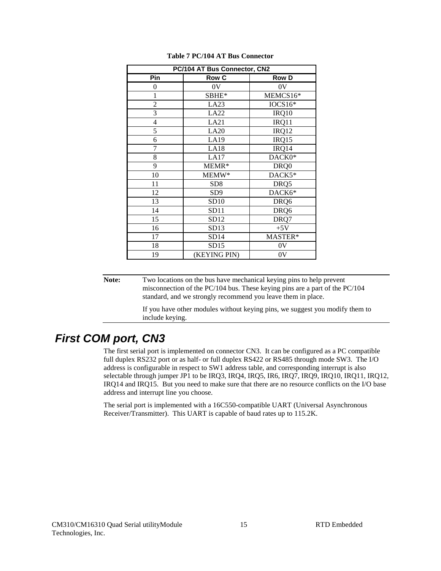| PC/104 AT Bus Connector, CN2 |                 |                |  |  |  |  |
|------------------------------|-----------------|----------------|--|--|--|--|
| Pin                          | <b>Row C</b>    | <b>Row D</b>   |  |  |  |  |
| $\theta$                     | 0V              | 0 <sup>V</sup> |  |  |  |  |
| 1                            | SBHE*           | MEMCS16*       |  |  |  |  |
| 2                            | LA23            | $IOCS16*$      |  |  |  |  |
| 3                            | LA22            | IRQ10          |  |  |  |  |
| $\overline{4}$               | LA21            | IRQ11          |  |  |  |  |
| 5                            | LA20            | IRQ12          |  |  |  |  |
| 6                            | LA19            | IRQ15          |  |  |  |  |
| 7                            | LA18            | IRQ14          |  |  |  |  |
| 8                            | LA17            | DACK0*         |  |  |  |  |
| 9                            | MEMR*           | DRQ0           |  |  |  |  |
| 10                           | MEMW*           | DACK5*         |  |  |  |  |
| 11                           | SD <sub>8</sub> | DRQ5           |  |  |  |  |
| 12                           | SD <sub>9</sub> | DACK6*         |  |  |  |  |
| 13                           | SD10            | DRQ6           |  |  |  |  |
| 14                           | SD11            | DRQ6           |  |  |  |  |
| 15                           | SD12            | DRQ7           |  |  |  |  |
| 16                           | SD13            | $+5V$          |  |  |  |  |
| 17                           | SD14            | MASTER*        |  |  |  |  |
| 18                           | SD15            | 0V             |  |  |  |  |
| 19                           | (KEYING PIN)    | 0V             |  |  |  |  |

#### **Table 7 PC/104 AT Bus Connector**

**Note:** Two locations on the bus have mechanical keying pins to help prevent misconnection of the PC/104 bus. These keying pins are a part of the PC/104 standard, and we strongly recommend you leave them in place.

> If you have other modules without keying pins, we suggest you modify them to include keying.

### **First COM port, CN3**

The first serial port is implemented on connector CN3. It can be configured as a PC compatible full duplex RS232 port or as half- or full duplex RS422 or RS485 through mode SW3. The I/O address is configurable in respect to SW1 address table, and corresponding interrupt is also selectable through jumper JP1 to be IRQ3, IRQ4, IRQ5, IR6, IRQ7, IRQ9, IRQ10, IRQ11, IRQ12, IRQ14 and IRQ15. But you need to make sure that there are no resource conflicts on the I/O base address and interrupt line you choose.

The serial port is implemented with a 16C550-compatible UART (Universal Asynchronous Receiver/Transmitter). This UART is capable of baud rates up to 115.2K.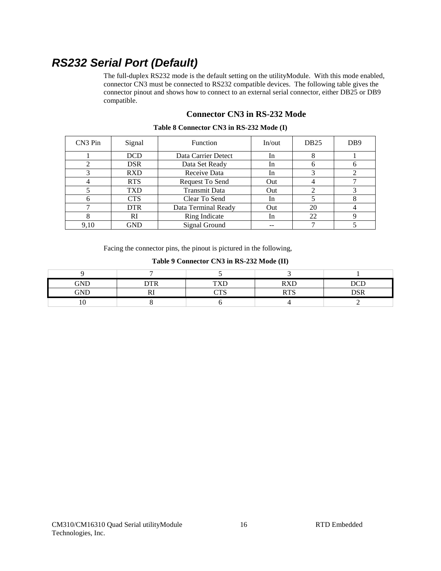# **RS232 Serial Port (Default)**

The full-duplex RS232 mode is the default setting on the utilityModule. With this mode enabled, connector CN3 must be connected to RS232 compatible devices. The following table gives the connector pinout and shows how to connect to an external serial connector, either DB25 or DB9 compatible.

#### **Connector CN3 in RS-232 Mode**

| CN <sub>3</sub> Pin | Signal     | <b>Function</b>      | In/out | DB <sub>25</sub> | D <sub>B9</sub> |
|---------------------|------------|----------------------|--------|------------------|-----------------|
|                     | <b>DCD</b> | Data Carrier Detect  | In     |                  |                 |
|                     | <b>DSR</b> | Data Set Ready       | In.    |                  |                 |
|                     | <b>RXD</b> | Receive Data         | In     |                  |                 |
|                     | <b>RTS</b> | Request To Send      | Out    |                  |                 |
|                     | <b>TXD</b> | <b>Transmit Data</b> | Out    |                  |                 |
|                     | <b>CTS</b> | Clear To Send        | In     |                  |                 |
|                     | <b>DTR</b> | Data Terminal Ready  | Out    | 20               |                 |
|                     | RI         | Ring Indicate        | In.    | 22               |                 |
| 9,10                | <b>GND</b> | Signal Ground        |        |                  |                 |

#### **Table 8 Connector CN3 in RS-232 Mode (I)**

Facing the connector pins, the pinout is pictured in the following,

**Table 9 Connector CN3 in RS-232 Mode (II)** 

| GND | ---- | <b>TIVT</b>            | $\mathbf{D} \mathbf{V}$<br>$\sim$ | ~~~ |
|-----|------|------------------------|-----------------------------------|-----|
| GND | -    | $\sim$ m $\sim$<br>1 N | nma<br>17 T P                     | nan |
|     |      |                        |                                   |     |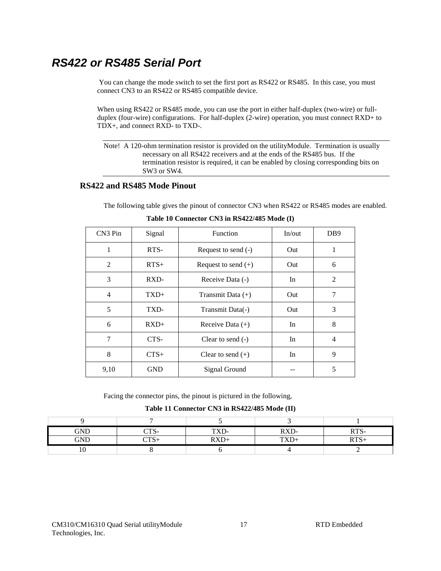# **RS422 or RS485 Serial Port**

 You can change the mode switch to set the first port as RS422 or RS485. In this case, you must connect CN3 to an RS422 or RS485 compatible device.

When using RS422 or RS485 mode, you can use the port in either half-duplex (two-wire) or fullduplex (four-wire) configurations. For half-duplex (2-wire) operation, you must connect RXD+ to TDX+, and connect RXD- to TXD-.

Note! A 120-ohm termination resistor is provided on the utilityModule. Termination is usually necessary on all RS422 receivers and at the ends of the RS485 bus. If the termination resistor is required, it can be enabled by closing corresponding bits on SW3 or SW4.

#### **RS422 and RS485 Mode Pinout**

The following table gives the pinout of connector CN3 when RS422 or RS485 modes are enabled.

| CN3 Pin | Signal     | Function              | In/out | D <sub>B9</sub> |
|---------|------------|-----------------------|--------|-----------------|
| 1       | RTS-       | Request to send (-)   | Out    | 1               |
| 2       | $RTS+$     | Request to send $(+)$ | Out    | 6               |
| 3       | RXD-       | Receive Data (-)      | In     | 2               |
| 4       | $TXD+$     | Transmit Data $(+)$   | Out    | 7               |
| 5       | TXD-       | Transmit Data(-)      | Out    | 3               |
| 6       | $RXD+$     | Receive Data $(+)$    | In     | 8               |
| 7       | CTS-       | Clear to send $(-)$   | In.    | 4               |
| 8       | $CTS+$     | Clear to send $(+)$   | In     | 9               |
| 9,10    | <b>GND</b> | Signal Ground         |        | 5               |

**Table 10 Connector CN3 in RS422/485 Mode (I)** 

Facing the connector pins, the pinout is pictured in the following,

#### **Table 11 Connector CN3 in RS422/485 Mode (II)**

| GND                  | $\sim$ m $\sim$          | . | $\n  IV\n$<br>$\Delta D$ | <b>DEC</b> |
|----------------------|--------------------------|---|--------------------------|------------|
| $\operatorname{GND}$ | $\sim$ m $\sim$<br>1. N. |   | T(TT)<br>.               | <b>DEC</b> |
| ◡                    |                          |   |                          |            |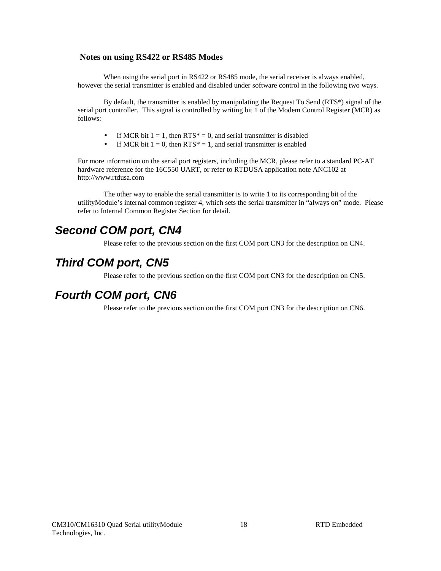#### **Notes on using RS422 or RS485 Modes**

When using the serial port in RS422 or RS485 mode, the serial receiver is always enabled, however the serial transmitter is enabled and disabled under software control in the following two ways.

By default, the transmitter is enabled by manipulating the Request To Send (RTS\*) signal of the serial port controller. This signal is controlled by writing bit 1 of the Modem Control Register (MCR) as follows:

- If MCR bit  $1 = 1$ , then RTS\* = 0, and serial transmitter is disabled
- If MCR bit  $1 = 0$ , then RTS\* = 1, and serial transmitter is enabled

For more information on the serial port registers, including the MCR, please refer to a standard PC-AT hardware reference for the 16C550 UART, or refer to RTDUSA application note ANC102 at http://www.rtdusa.com

The other way to enable the serial transmitter is to write 1 to its corresponding bit of the utilityModule's internal common register 4, which sets the serial transmitter in "always on" mode. Please refer to Internal Common Register Section for detail.

# **Second COM port, CN4**

Please refer to the previous section on the first COM port CN3 for the description on CN4.

# **Third COM port, CN5**

Please refer to the previous section on the first COM port CN3 for the description on CN5.

### **Fourth COM port, CN6**

Please refer to the previous section on the first COM port CN3 for the description on CN6.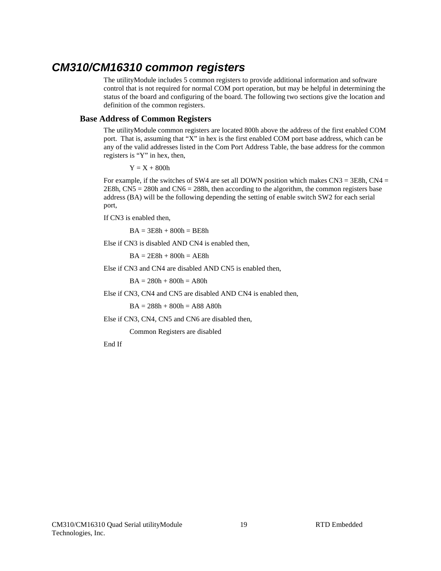## **CM310/CM16310 common registers**

The utilityModule includes 5 common registers to provide additional information and software control that is not required for normal COM port operation, but may be helpful in determining the status of the board and configuring of the board. The following two sections give the location and definition of the common registers.

#### **Base Address of Common Registers**

The utilityModule common registers are located 800h above the address of the first enabled COM port. That is, assuming that "X" in hex is the first enabled COM port base address, which can be any of the valid addresses listed in the Com Port Address Table, the base address for the common registers is "Y" in hex, then,

 $Y = X + 800h$ 

For example, if the switches of SW4 are set all DOWN position which makes  $CN3 = 3E8h$ ,  $CN4 =$ 2E8h, CN5 = 280h and CN6 = 288h, then according to the algorithm, the common registers base address (BA) will be the following depending the setting of enable switch SW2 for each serial port,

If CN3 is enabled then,

 $BA = 3E8h + 800h = BE8h$ 

Else if CN3 is disabled AND CN4 is enabled then,

 $BA = 2E8h + 800h = AEBh$ 

Else if CN3 and CN4 are disabled AND CN5 is enabled then,

 $BA = 280h + 800h = A80h$ 

Else if CN3, CN4 and CN5 are disabled AND CN4 is enabled then,

 $BA = 288h + 800h = A88$  A80h

Else if CN3, CN4, CN5 and CN6 are disabled then,

Common Registers are disabled

End If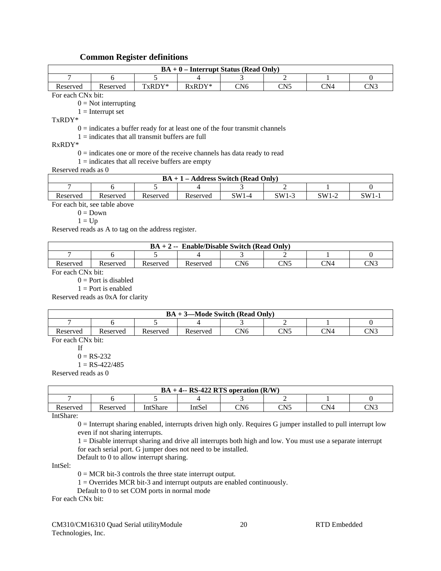#### **Common Register definitions**

| $BA + 0$ – Interrupt Status (Read Only)             |                                                                               |          |                                              |               |                      |                      |                 |
|-----------------------------------------------------|-------------------------------------------------------------------------------|----------|----------------------------------------------|---------------|----------------------|----------------------|-----------------|
| 7                                                   | 6                                                                             | 5        | 4                                            |               | $\mathfrak{D}$       |                      | $\Omega$        |
| Reserved                                            | Reserved                                                                      | TxRDY*   | RxRDY*                                       | CN6           | CN <sub>5</sub>      | CN <sub>4</sub>      | CN <sub>3</sub> |
|                                                     | For each CN <sub>x</sub> bit:                                                 |          |                                              |               |                      |                      |                 |
|                                                     | $0 = Not$ interrupting                                                        |          |                                              |               |                      |                      |                 |
|                                                     | $1 =$ Interrupt set                                                           |          |                                              |               |                      |                      |                 |
| $TxRDY^*$                                           |                                                                               |          |                                              |               |                      |                      |                 |
|                                                     | $0 =$ indicates a buffer ready for at least one of the four transmit channels |          |                                              |               |                      |                      |                 |
|                                                     | $1 =$ indicates that all transmit buffers are full                            |          |                                              |               |                      |                      |                 |
| $RxRDY*$                                            |                                                                               |          |                                              |               |                      |                      |                 |
|                                                     | $0 =$ indicates one or more of the receive channels has data ready to read    |          |                                              |               |                      |                      |                 |
|                                                     | $1 =$ indicates that all receive buffers are empty                            |          |                                              |               |                      |                      |                 |
| Reserved reads as 0                                 |                                                                               |          |                                              |               |                      |                      |                 |
|                                                     |                                                                               |          | $BA + 1 - Address Switch (Read Only)$        |               |                      |                      |                 |
| 7                                                   | 6                                                                             | 5        | 4                                            | 3             | $\mathfrak{D}$       |                      | $\Omega$        |
| Reserved                                            | Reserved                                                                      | Reserved | Reserved                                     | $SW1-4$       | $SW1-3$              | $SW1-2$              | $SW1-1$         |
|                                                     | For each bit, see table above                                                 |          |                                              |               |                      |                      |                 |
|                                                     | $0 = Down$                                                                    |          |                                              |               |                      |                      |                 |
|                                                     | $1 = Up$                                                                      |          |                                              |               |                      |                      |                 |
| Reserved reads as A to tag on the address register. |                                                                               |          |                                              |               |                      |                      |                 |
|                                                     |                                                                               |          |                                              |               |                      |                      |                 |
|                                                     |                                                                               |          | $BA + 2 -$ Enable/Disable Switch (Read Only) |               |                      |                      |                 |
| 7                                                   | 6                                                                             | 5        | 4                                            | 3             |                      |                      | $\overline{0}$  |
|                                                     |                                                                               |          | $\overline{\phantom{a}}$                     | $\sim$ $\sim$ | $\sim$ $\sim$ $\sim$ | $\sim$ $\sim$ $\sim$ | $\sim$ $\sim$   |

| <b>Enable/Disable Switch (Read Only)</b><br>$BA + 2 -$ |          |          |          |     |           |     |     |
|--------------------------------------------------------|----------|----------|----------|-----|-----------|-----|-----|
|                                                        |          |          |          |     |           |     |     |
| Reserved                                               | Reserved | Reserved | Reserved | CN6 | $\cap$ N5 | CN4 | CN3 |

For each CNx bit:

 $0 =$ Port is disabled

 $1 =$ Port is enabled

Reserved reads as 0xA for clarity

| -Mode Switch (Read Only)<br>$BA + 3$ |          |          |          |     |                         |     |     |
|--------------------------------------|----------|----------|----------|-----|-------------------------|-----|-----|
|                                      |          |          |          |     |                         |     |     |
| Reserved                             | Reserved | Reserved | Reserved | CN6 | CN <sub>5</sub><br>◡▴◥◡ | CN4 | CN3 |

For each CNx bit:

If

 $0 = RS-232$ 

 $1 = RS-422/485$ 

Reserved reads as 0

| $BA + 4 - RS-422 RTS$ operation $(R/W)$ |          |                 |        |     |              |     |     |
|-----------------------------------------|----------|-----------------|--------|-----|--------------|-----|-----|
|                                         |          |                 |        |     |              |     |     |
| Reserved                                | Reserved | <b>IntShare</b> | IntSel | CN6 | CNI5<br>◡▴◥◡ | CN4 | CN3 |

IntShare:

0 = Interrupt sharing enabled, interrupts driven high only. Requires G jumper installed to pull interrupt low even if not sharing interrupts.

1 = Disable interrupt sharing and drive all interrupts both high and low. You must use a separate interrupt for each serial port. G jumper does not need to be installed.

Default to 0 to allow interrupt sharing.

IntSel:

 $0 = MCR$  bit-3 controls the three state interrupt output.

1 = Overrides MCR bit-3 and interrupt outputs are enabled continuously.

Default to 0 to set COM ports in normal mode

For each CNx bit: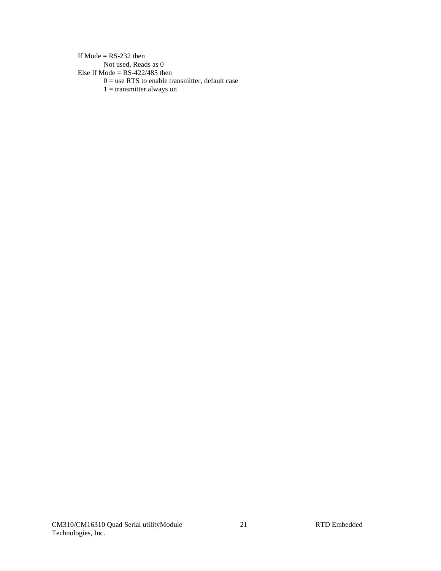If Mode  $=$  RS-232 then Not used, Reads as 0 Else If Mode =  $RS-422/485$  then  $0 =$  use RTS to enable transmitter, default case  $1 =$ transmitter always on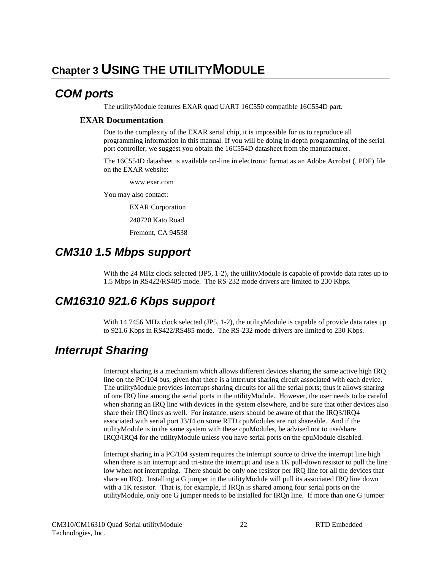# **Chapter 3 USING THE UTILITYMODULE**

### **COM ports**

The utilityModule features EXAR quad UART 16C550 compatible 16C554D part.

#### **EXAR Documentation**

Due to the complexity of the EXAR serial chip, it is impossible for us to reproduce all programming information in this manual. If you will be doing in-depth programming of the serial port controller, we suggest you obtain the 16C554D datasheet from the manufacturer.

The 16C554D datasheet is available on-line in electronic format as an Adobe Acrobat (. PDF) file on the EXAR website:

www.exar.com

You may also contact:

EXAR Corporation

248720 Kato Road

Fremont, CA 94538

## **CM310 1.5 Mbps support**

With the 24 MHz clock selected (JP5, 1-2), the utilityModule is capable of provide data rates up to 1.5 Mbps in RS422/RS485 mode. The RS-232 mode drivers are limited to 230 Kbps.

### **CM16310 921.6 Kbps support**

With 14.7456 MHz clock selected (JP5, 1-2), the utilityModule is capable of provide data rates up to 921.6 Kbps in RS422/RS485 mode. The RS-232 mode drivers are limited to 230 Kbps.

# **Interrupt Sharing**

Interrupt sharing is a mechanism which allows different devices sharing the same active high IRQ line on the PC/104 bus, given that there is a interrupt sharing circuit associated with each device. The utilityModule provides interrupt-sharing circuits for all the serial ports; thus it allows sharing of one IRQ line among the serial ports in the utilityModule. However, the user needs to be careful when sharing an IRQ line with devices in the system elsewhere, and be sure that other devices also share their IRQ lines as well. For instance, users should be aware of that the IRQ3/IRQ4 associated with serial port J3/J4 on some RTD cpuModules are not shareable. And if the utilityModule is in the same system with these cpuModules, be advised not to use/share IRQ3/IRQ4 for the utilityModule unless you have serial ports on the cpuModule disabled.

Interrupt sharing in a PC/104 system requires the interrupt source to drive the interrupt line high when there is an interrupt and tri-state the interrupt and use a 1K pull-down resistor to pull the line low when not interrupting. There should be only one resistor per IRQ line for all the devices that share an IRQ. Installing a G jumper in the utilityModule will pull its associated IRQ line down with a 1K resistor. That is, for example, if IRQn is shared among four serial ports on the utilityModule, only one G jumper needs to be installed for IRQn line. If more than one G jumper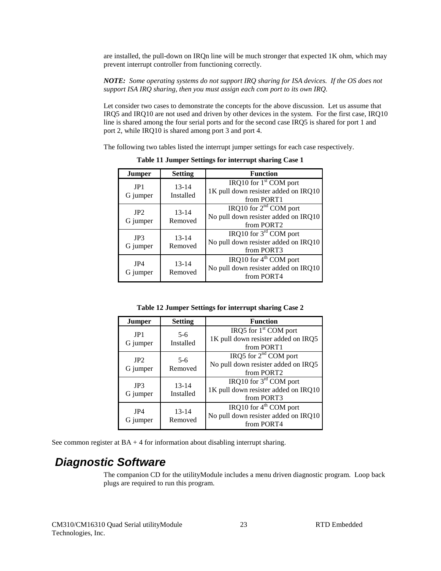are installed, the pull-down on IRQn line will be much stronger that expected 1K ohm, which may prevent interrupt controller from functioning correctly.

*NOTE: Some operating systems do not support IRQ sharing for ISA devices. If the OS does not support ISA IRQ sharing, then you must assign each com port to its own IRQ.* 

Let consider two cases to demonstrate the concepts for the above discussion. Let us assume that IRQ5 and IRQ10 are not used and driven by other devices in the system. For the first case, IRQ10 line is shared among the four serial ports and for the second case IRQ5 is shared for port 1 and port 2, while IRQ10 is shared among port 3 and port 4.

The following two tables listed the interrupt jumper settings for each case respectively.

| <b>Jumper</b>   | <b>Setting</b>       | <b>Function</b>                                                                          |
|-----------------|----------------------|------------------------------------------------------------------------------------------|
| JP1<br>G jumper | 13-14<br>Installed   | IRQ10 for $1st$ COM port<br>1K pull down resister added on IRQ10<br>from PORT1           |
| IP2<br>G jumper | $13 - 14$<br>Removed | IRQ10 for $2nd$ COM port<br>No pull down resister added on IRQ10<br>from PORT2           |
| JP3<br>G jumper | $13 - 14$<br>Removed | IRQ10 for $3rd$ COM port<br>No pull down resister added on IRQ10<br>from PORT3           |
| JP4<br>G jumper | $13 - 14$<br>Removed | IRQ10 for 4 <sup>th</sup> COM port<br>No pull down resister added on IRQ10<br>from PORT4 |

**Table 11 Jumper Settings for interrupt sharing Case 1** 

**Table 12 Jumper Settings for interrupt sharing Case 2** 

| Jumper          | <b>Setting</b>         | <b>Function</b>                                                                          |
|-----------------|------------------------|------------------------------------------------------------------------------------------|
| JP1<br>G jumper | $5-6$<br>Installed     | IRQ5 for $1st$ COM port<br>1K pull down resister added on IRQ5<br>from PORT1             |
| IP2<br>G jumper | $5-6$<br>Removed       | IRQ5 for $2nd$ COM port<br>No pull down resister added on IRQ5<br>from PORT <sub>2</sub> |
| JP3<br>G jumper | $13 - 14$<br>Installed | IRQ10 for $3^{rd}$ COM port<br>1K pull down resister added on IRQ10<br>from PORT3        |
| JP4<br>G jumper | $13 - 14$<br>Removed   | IRQ10 for 4 <sup>th</sup> COM port<br>No pull down resister added on IRQ10<br>from PORT4 |

See common register at  $BA + 4$  for information about disabling interrupt sharing.

# **Diagnostic Software**

The companion CD for the utilityModule includes a menu driven diagnostic program. Loop back plugs are required to run this program.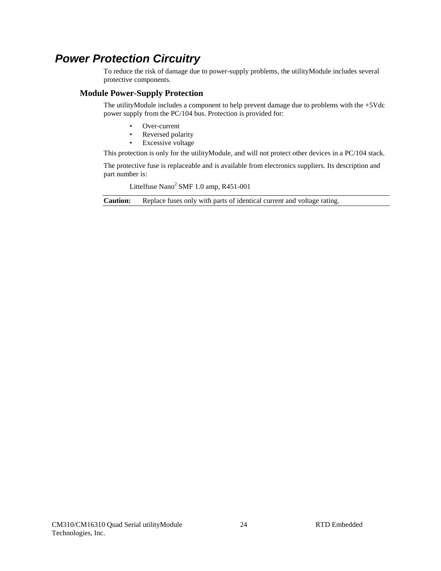# **Power Protection Circuitry**

To reduce the risk of damage due to power-supply problems, the utilityModule includes several protective components.

#### **Module Power-Supply Protection**

The utilityModule includes a component to help prevent damage due to problems with the +5Vdc power supply from the PC/104 bus. Protection is provided for:

- Over-current
- Reversed polarity
- Excessive voltage

This protection is only for the utilityModule, and will not protect other devices in a PC/104 stack.

The protective fuse is replaceable and is available from electronics suppliers. Its description and part number is:

Littelfuse Nano<sup>2</sup> SMF 1.0 amp, R451-001

**Caution:** Replace fuses only with parts of identical current and voltage rating.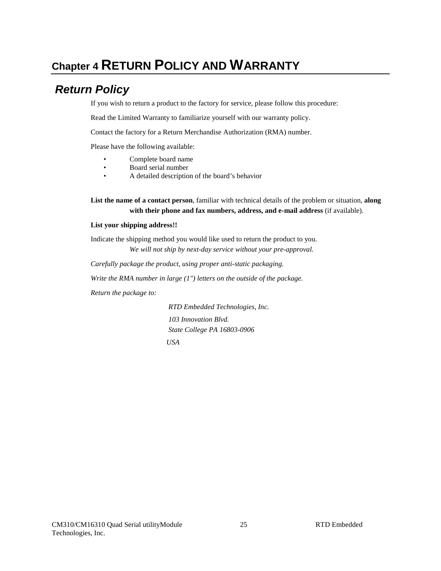# **Chapter 4 RETURN POLICY AND WARRANTY**

# **Return Policy**

If you wish to return a product to the factory for service, please follow this procedure:

Read the Limited Warranty to familiarize yourself with our warranty policy.

Contact the factory for a Return Merchandise Authorization (RMA) number.

Please have the following available:

- Complete board name
- Board serial number
- A detailed description of the board's behavior

**List the name of a contact person**, familiar with technical details of the problem or situation, **along with their phone and fax numbers, address, and e-mail address** (if available).

#### **List your shipping address!!**

Indicate the shipping method you would like used to return the product to you. *We will not ship by next-day service without your pre-approval.*

*Carefully package the product, using proper anti-static packaging.*

*Write the RMA number in large (1") letters on the outside of the package.*

*Return the package to:* 

 *RTD Embedded Technologies, Inc. 103 Innovation Blvd. State College PA 16803-0906 USA*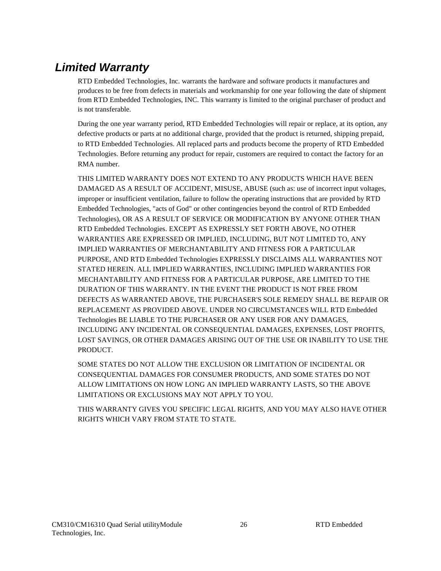# **Limited Warranty**

RTD Embedded Technologies, Inc. warrants the hardware and software products it manufactures and produces to be free from defects in materials and workmanship for one year following the date of shipment from RTD Embedded Technologies, INC. This warranty is limited to the original purchaser of product and is not transferable.

During the one year warranty period, RTD Embedded Technologies will repair or replace, at its option, any defective products or parts at no additional charge, provided that the product is returned, shipping prepaid, to RTD Embedded Technologies. All replaced parts and products become the property of RTD Embedded Technologies. Before returning any product for repair, customers are required to contact the factory for an RMA number.

THIS LIMITED WARRANTY DOES NOT EXTEND TO ANY PRODUCTS WHICH HAVE BEEN DAMAGED AS A RESULT OF ACCIDENT, MISUSE, ABUSE (such as: use of incorrect input voltages, improper or insufficient ventilation, failure to follow the operating instructions that are provided by RTD Embedded Technologies, "acts of God" or other contingencies beyond the control of RTD Embedded Technologies), OR AS A RESULT OF SERVICE OR MODIFICATION BY ANYONE OTHER THAN RTD Embedded Technologies. EXCEPT AS EXPRESSLY SET FORTH ABOVE, NO OTHER WARRANTIES ARE EXPRESSED OR IMPLIED, INCLUDING, BUT NOT LIMITED TO, ANY IMPLIED WARRANTIES OF MERCHANTABILITY AND FITNESS FOR A PARTICULAR PURPOSE, AND RTD Embedded Technologies EXPRESSLY DISCLAIMS ALL WARRANTIES NOT STATED HEREIN. ALL IMPLIED WARRANTIES, INCLUDING IMPLIED WARRANTIES FOR MECHANTABILITY AND FITNESS FOR A PARTICULAR PURPOSE, ARE LIMITED TO THE DURATION OF THIS WARRANTY. IN THE EVENT THE PRODUCT IS NOT FREE FROM DEFECTS AS WARRANTED ABOVE, THE PURCHASER'S SOLE REMEDY SHALL BE REPAIR OR REPLACEMENT AS PROVIDED ABOVE. UNDER NO CIRCUMSTANCES WILL RTD Embedded Technologies BE LIABLE TO THE PURCHASER OR ANY USER FOR ANY DAMAGES, INCLUDING ANY INCIDENTAL OR CONSEQUENTIAL DAMAGES, EXPENSES, LOST PROFITS, LOST SAVINGS, OR OTHER DAMAGES ARISING OUT OF THE USE OR INABILITY TO USE THE PRODUCT.

SOME STATES DO NOT ALLOW THE EXCLUSION OR LIMITATION OF INCIDENTAL OR CONSEQUENTIAL DAMAGES FOR CONSUMER PRODUCTS, AND SOME STATES DO NOT ALLOW LIMITATIONS ON HOW LONG AN IMPLIED WARRANTY LASTS, SO THE ABOVE LIMITATIONS OR EXCLUSIONS MAY NOT APPLY TO YOU.

THIS WARRANTY GIVES YOU SPECIFIC LEGAL RIGHTS, AND YOU MAY ALSO HAVE OTHER RIGHTS WHICH VARY FROM STATE TO STATE.